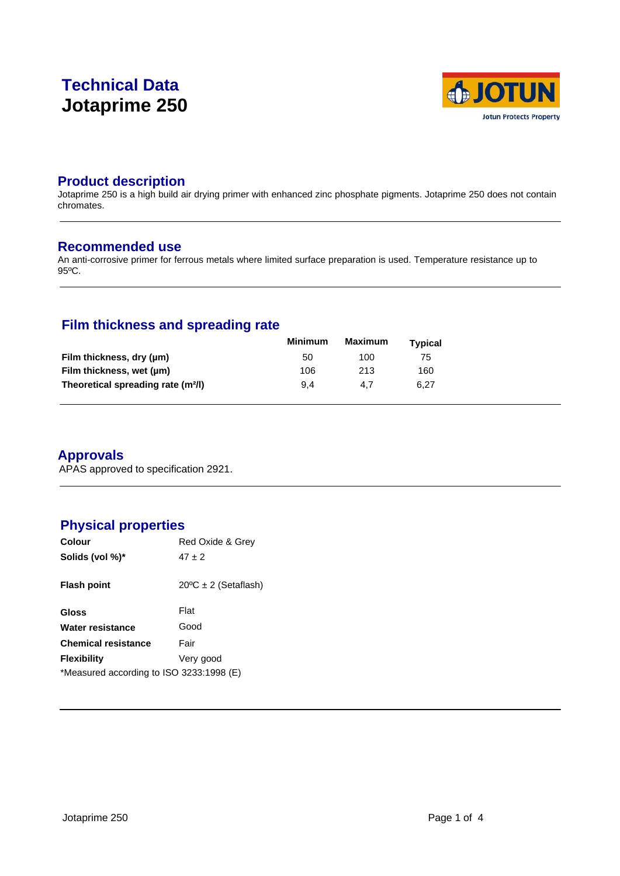# **Technical Data Jotaprime 250**



## **Product description**

Jotaprime 250 is a high build air drying primer with enhanced zinc phosphate pigments. Jotaprime 250 does not contain chromates.

### **Recommended use**

An anti-corrosive primer for ferrous metals where limited surface preparation is used. Temperature resistance up to 95ºC.

# **Film thickness and spreading rate**

|                                                | Minimum | <b>Maximum</b> | Typical |  |
|------------------------------------------------|---------|----------------|---------|--|
| Film thickness, dry (µm)                       | 50      | 100            | 75      |  |
| Film thickness, wet (µm)                       | 106     | 213            | 160     |  |
| Theoretical spreading rate (m <sup>2</sup> /l) | 9.4     | 4.7            | 6.27    |  |

# **Approvals**

APAS approved to specification 2921.

# **Physical properties**

| Colour                                   | Red Oxide & Grey               |  |  |  |  |  |
|------------------------------------------|--------------------------------|--|--|--|--|--|
| Solids (vol %)*                          | $47 + 2$                       |  |  |  |  |  |
| <b>Flash point</b>                       | $20^{\circ}$ C ± 2 (Setaflash) |  |  |  |  |  |
| Gloss                                    | Flat                           |  |  |  |  |  |
| Water resistance                         | Good                           |  |  |  |  |  |
| <b>Chemical resistance</b>               | Fair                           |  |  |  |  |  |
| <b>Flexibility</b>                       | Very good                      |  |  |  |  |  |
| *Measured according to ISO 3233:1998 (E) |                                |  |  |  |  |  |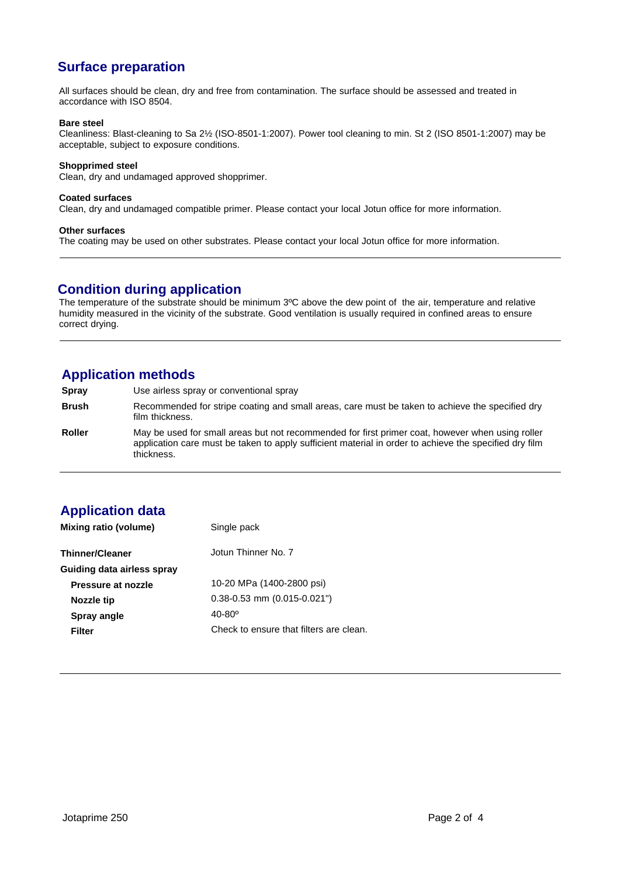# **Surface preparation**

All surfaces should be clean, dry and free from contamination. The surface should be assessed and treated in accordance with ISO 8504.

#### **Bare steel**

Cleanliness: Blast-cleaning to Sa 2½ (ISO-8501-1:2007). Power tool cleaning to min. St 2 (ISO 8501-1:2007) may be acceptable, subject to exposure conditions.

#### **Shopprimed steel**

Clean, dry and undamaged approved shopprimer.

#### **Coated surfaces**

Clean, dry and undamaged compatible primer. Please contact your local Jotun office for more information.

#### **Other surfaces**

The coating may be used on other substrates. Please contact your local Jotun office for more information.

### **Condition during application**

The temperature of the substrate should be minimum 3ºC above the dew point of the air, temperature and relative humidity measured in the vicinity of the substrate. Good ventilation is usually required in confined areas to ensure correct drying.

# **Application methods**

**Spray** Use airless spray or conventional spray

**Brush** Recommended for stripe coating and small areas, care must be taken to achieve the specified dry film thickness.

**Roller** May be used for small areas but not recommended for first primer coat, however when using roller application care must be taken to apply sufficient material in order to achieve the specified dry film thickness.

# **Application data**

| Mixing ratio (volume)      | Single pack                             |  |  |
|----------------------------|-----------------------------------------|--|--|
| <b>Thinner/Cleaner</b>     | Jotun Thinner No. 7                     |  |  |
| Guiding data airless spray |                                         |  |  |
| Pressure at nozzle         | 10-20 MPa (1400-2800 psi)               |  |  |
| Nozzle tip                 | $0.38 - 0.53$ mm $(0.015 - 0.021)$      |  |  |
| Spray angle                | $40 - 80^{\circ}$                       |  |  |
| Filter                     | Check to ensure that filters are clean. |  |  |
|                            |                                         |  |  |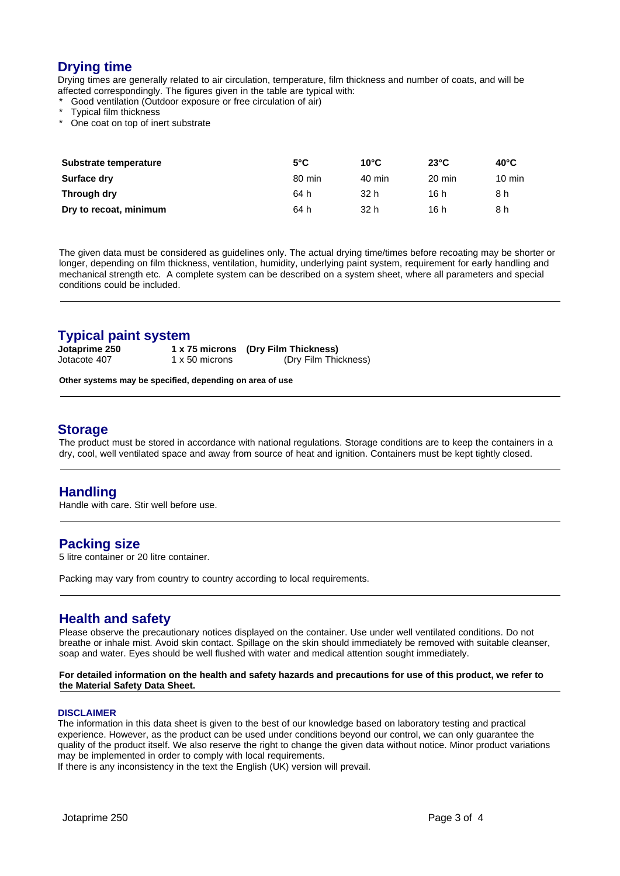# **Drying time**

Drying times are generally related to air circulation, temperature, film thickness and number of coats, and will be affected correspondingly. The figures given in the table are typical with:

- Good ventilation (Outdoor exposure or free circulation of air)
- Typical film thickness
- One coat on top of inert substrate

| Substrate temperature  | $5^{\circ}$ C | $10^{\circ}$ C | $23^{\circ}$ C | $40^{\circ}$ C   |
|------------------------|---------------|----------------|----------------|------------------|
| Surface dry            | 80 min        | 40 min         | 20 min         | $10 \text{ min}$ |
| Through dry            | 64 h          | 32 h           | 16 h           | 8 h              |
| Dry to recoat, minimum | 64 h          | 32 h           | 16 h           | 8 h              |

The given data must be considered as guidelines only. The actual drying time/times before recoating may be shorter or longer, depending on film thickness, ventilation, humidity, underlying paint system, requirement for early handling and mechanical strength etc. A complete system can be described on a system sheet, where all parameters and special conditions could be included.

# **Typical paint system**<br>Jotaprime 250 1 x 7

**Jotaprime 250 1 x 75 microns (Dry Film Thickness)** (Dry Film Thickness)

**Other systems may be specified, depending on area of use**

### **Storage**

The product must be stored in accordance with national regulations. Storage conditions are to keep the containers in a dry, cool, well ventilated space and away from source of heat and ignition. Containers must be kept tightly closed.

## **Handling**

Handle with care. Stir well before use.

#### **Packing size**

5 litre container or 20 litre container.

Packing may vary from country to country according to local requirements.

## **Health and safety**

Please observe the precautionary notices displayed on the container. Use under well ventilated conditions. Do not breathe or inhale mist. Avoid skin contact. Spillage on the skin should immediately be removed with suitable cleanser, soap and water. Eyes should be well flushed with water and medical attention sought immediately.

#### **For detailed information on the health and safety hazards and precautions for use of this product, we refer to the Material Safety Data Sheet.**

#### **DISCLAIMER**

The information in this data sheet is given to the best of our knowledge based on laboratory testing and practical experience. However, as the product can be used under conditions beyond our control, we can only guarantee the quality of the product itself. We also reserve the right to change the given data without notice. Minor product variations may be implemented in order to comply with local requirements.

If there is any inconsistency in the text the English (UK) version will prevail.